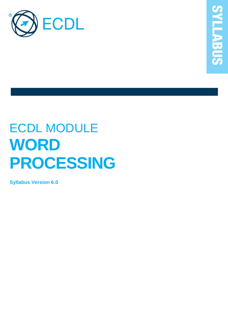

# ECDL MODULE **WORD PROCESSING**

**Syllabus Version 6.0**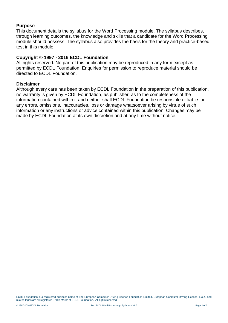#### **Purpose**

This document details the syllabus for the Word Processing module. The syllabus describes, through learning outcomes, the knowledge and skills that a candidate for the Word Processing module should possess. The syllabus also provides the basis for the theory and practice-based test in this module.

#### **Copyright © 1997 - 2016 ECDL Foundation**

All rights reserved. No part of this publication may be reproduced in any form except as permitted by ECDL Foundation. Enquiries for permission to reproduce material should be directed to ECDL Foundation.

#### **Disclaimer**

Although every care has been taken by ECDL Foundation in the preparation of this publication, no warranty is given by ECDL Foundation, as publisher, as to the completeness of the information contained within it and neither shall ECDL Foundation be responsible or liable for any errors, omissions, inaccuracies, loss or damage whatsoever arising by virtue of such information or any instructions or advice contained within this publication. Changes may be made by ECDL Foundation at its own discretion and at any time without notice.

ECDL Foundation is a registered business name of The European Computer Driving Licence Foundation Limited. European Computer Driving Licence, ECDL and related logos are all registered Trade Marks of ECDL Foundation. All rights reserved.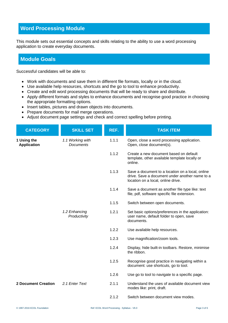## **Word Processing Module**

This module sets out essential concepts and skills relating to the ability to use a word processing application to create everyday documents.

### **Module Goals**

Successful candidates will be able to:

- Work with documents and save them in different file formats, locally or in the cloud.
- Use available help resources, shortcuts and the go to tool to enhance productivity.
- Create and edit word processing documents that will be ready to share and distribute.
- Apply different formats and styles to enhance documents and recognise good practice in choosing the appropriate formatting options.
- Insert tables, pictures and drawn objects into documents.
- Prepare documents for mail merge operations.
- Adjust document page settings and check and correct spelling before printing.

| <b>CATEGORY</b>                   | <b>SKILL SET</b>                     | REF.  | <b>TASK ITEM</b>                                                                                                                         |
|-----------------------------------|--------------------------------------|-------|------------------------------------------------------------------------------------------------------------------------------------------|
| 1 Using the<br><b>Application</b> | 1.1 Working with<br><b>Documents</b> | 1.1.1 | Open, close a word processing application.<br>Open, close document(s).                                                                   |
|                                   |                                      | 1.1.2 | Create a new document based on default<br>template, other available template locally or<br>online.                                       |
|                                   |                                      | 1.1.3 | Save a document to a location on a local, online<br>drive. Save a document under another name to a<br>location on a local, online drive. |
|                                   |                                      | 1.1.4 | Save a document as another file type like: text<br>file, pdf, software specific file extension.                                          |
|                                   |                                      | 1.1.5 | Switch between open documents.                                                                                                           |
|                                   | 1.2 Enhancing<br>Productivity        | 1.2.1 | Set basic options/preferences in the application:<br>user name, default folder to open, save<br>documents.                               |
|                                   |                                      | 1.2.2 | Use available help resources.                                                                                                            |
|                                   |                                      | 1.2.3 | Use magnification/zoom tools.                                                                                                            |
|                                   |                                      | 1.2.4 | Display, hide built-in toolbars. Restore, minimise<br>the ribbon.                                                                        |
|                                   |                                      | 1.2.5 | Recognise good practice in navigating within a<br>document: use shortcuts, go to tool.                                                   |
|                                   |                                      | 1.2.6 | Use go to tool to navigate to a specific page.                                                                                           |
| <b>2 Document Creation</b>        | 2.1 Enter Text                       | 2.1.1 | Understand the uses of available document view<br>modes like: print, draft.                                                              |
|                                   |                                      | 2.1.2 | Switch between document view modes.                                                                                                      |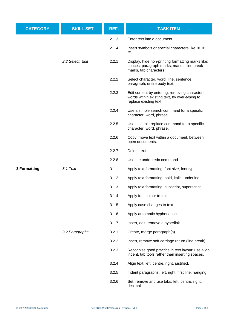| <b>CATEGORY</b> | <b>SKILL SET</b> | REF.  | <b>TASK ITEM</b>                                                                                                          |
|-----------------|------------------|-------|---------------------------------------------------------------------------------------------------------------------------|
|                 |                  | 2.1.3 | Enter text into a document.                                                                                               |
|                 |                  | 2.1.4 | Insert symbols or special characters like: C, ®,<br>TM.                                                                   |
|                 | 2.2 Select, Edit | 2.2.1 | Display, hide non-printing formatting marks like:<br>spaces, paragraph marks, manual line break<br>marks, tab characters. |
|                 |                  | 2.2.2 | Select character, word, line, sentence,<br>paragraph, entire body text.                                                   |
|                 |                  | 2.2.3 | Edit content by entering, removing characters,<br>words within existing text, by over-typing to<br>replace existing text. |
|                 |                  | 2.2.4 | Use a simple search command for a specific<br>character, word, phrase.                                                    |
|                 |                  | 2.2.5 | Use a simple replace command for a specific<br>character, word, phrase.                                                   |
|                 |                  | 2.2.6 | Copy, move text within a document, between<br>open documents.                                                             |
|                 |                  | 2.2.7 | Delete text.                                                                                                              |
|                 |                  | 2.2.8 | Use the undo, redo command.                                                                                               |
| 3 Formatting    | 3.1 Text         | 3.1.1 | Apply text formatting: font size, font type.                                                                              |
|                 |                  | 3.1.2 | Apply text formatting: bold, italic, underline.                                                                           |
|                 |                  | 3.1.3 | Apply text formatting: subscript, superscript.                                                                            |
|                 |                  | 3.1.4 | Apply font colour to text.                                                                                                |
|                 |                  | 3.1.5 | Apply case changes to text.                                                                                               |
|                 |                  | 3.1.6 | Apply automatic hyphenation.                                                                                              |
|                 |                  | 3.1.7 | Insert, edit, remove a hyperlink.                                                                                         |
|                 | 3.2 Paragraphs   | 3.2.1 | Create, merge paragraph(s).                                                                                               |
|                 |                  | 3.2.2 | Insert, remove soft carriage return (line break).                                                                         |
|                 |                  | 3.2.3 | Recognise good practice in text layout: use align,<br>indent, tab tools rather than inserting spaces.                     |
|                 |                  | 3.2.4 | Align text: left, centre, right, justified.                                                                               |
|                 |                  | 3.2.5 | Indent paragraphs: left, right, first line, hanging.                                                                      |
|                 |                  | 3.2.6 | Set, remove and use tabs: left, centre, right,<br>decimal.                                                                |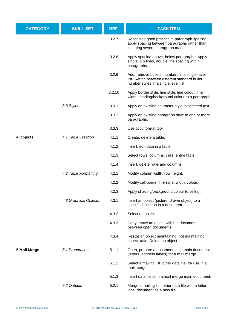| <b>CATEGORY</b> | <b>SKILL SET</b>      | REF.   | <b>TASK ITEM</b>                                                                                                                           |
|-----------------|-----------------------|--------|--------------------------------------------------------------------------------------------------------------------------------------------|
|                 |                       | 3.2.7  | Recognise good practice in paragraph spacing:<br>apply spacing between paragraphs rather than<br>inserting several paragraph marks.        |
|                 |                       | 3.2.8  | Apply spacing above, below paragraphs. Apply<br>single, 1.5 lines, double line spacing within<br>paragraphs.                               |
|                 |                       | 3.2.9  | Add, remove bullets, numbers in a single level<br>list. Switch between different standard bullet,<br>number styles in a single level list. |
|                 |                       | 3.2.10 | Apply border style, line style, line colour, line<br>width, shading/background colour to a paragraph.                                      |
|                 | 3.3 Styles            | 3.3.1  | Apply an existing character style to selected text.                                                                                        |
|                 |                       | 3.3.2  | Apply an existing paragraph style to one or more<br>paragraphs.                                                                            |
|                 |                       | 3.3.3  | Use copy format tool.                                                                                                                      |
| 4 Objects       | 4.1 Table Creation    | 4.1.1  | Create, delete a table.                                                                                                                    |
|                 |                       | 4.1.2  | Insert, edit data in a table.                                                                                                              |
|                 |                       | 4.1.3  | Select rows, columns, cells, entire table.                                                                                                 |
|                 |                       | 4.1.4  | Insert, delete rows and columns.                                                                                                           |
|                 | 4.2 Table Formatting  | 4.2.1  | Modify column width, row height.                                                                                                           |
|                 |                       | 4.2.2  | Modify cell border line style, width, colour.                                                                                              |
|                 |                       | 4.2.3  | Apply shading/background colour to cell(s).                                                                                                |
|                 | 4.3 Graphical Objects | 4.3.1  | Insert an object (picture, drawn object) to a<br>specified location in a document.                                                         |
|                 |                       | 4.3.2  | Select an object.                                                                                                                          |
|                 |                       | 4.3.3  | Copy, move an object within a document,<br>between open documents.                                                                         |
|                 |                       | 4.3.4  | Resize an object maintaining, not maintaining<br>aspect ratio. Delete an object.                                                           |
| 5 Mail Merge    | 5.1 Preparation       | 5.1.1  | Open, prepare a document, as a main document<br>(letters, address labels) for a mail merge.                                                |
|                 |                       | 5.1.2  | Select a mailing list, other data file, for use in a<br>mail merge.                                                                        |
|                 |                       | 5.1.3  | Insert data fields in a mail merge main document.                                                                                          |
|                 | 5.2 Outputs           | 5.2.1  | Merge a mailing list, other data file with a letter,<br>label document as a new file.                                                      |